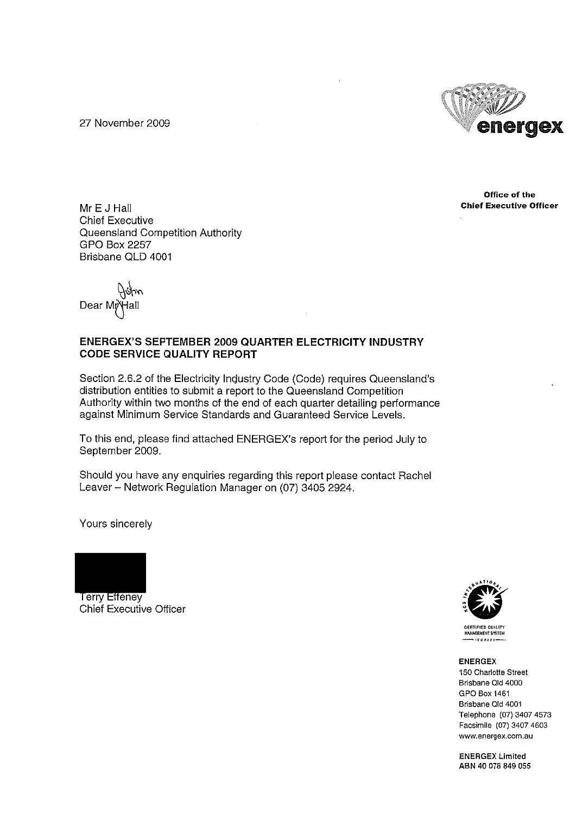27 November 2009



Office of the **Chief Executive Officer** 

Mr E J Hall **Chief Executive** Queensland Competition Authority **GPO Box 2257** Brisbane QLD 4001

Dear<sub>M</sub>

#### **ENERGEX'S SEPTEMBER 2009 QUARTER ELECTRICITY INDUSTRY CODE SERVICE QUALITY REPORT**

Section 2.6.2 of the Electricity Industry Code (Code) requires Queensland's distribution entities to submit a report to the Queensland Competition Authority within two months of the end of each quarter detailing performance against Minimum Service Standards and Guaranteed Service Levels.

To this end, please find attached ENERGEX's report for the period July to September 2009.

Should you have any enquiries regarding this report please contact Rachel Leaver - Network Regulation Manager on (07) 3405 2924.

Yours sincerely



**Terry Effeney Chief Executive Officer** 



**CERTIFIED QUALITY MANAGEMENT SYSTEM** . . . . . . . . .<br>. . . . . . . .

#### **ENERGEX**

150 Charlotte Street Brisbane Qld 4000 **GPO Box 1461** Brisbane Old 4001 Telephone (07) 3407 4573 Facsimile (07) 3407 4603 www.energex.com.au

**ENERGEX Limited** ABN 40 078 849 055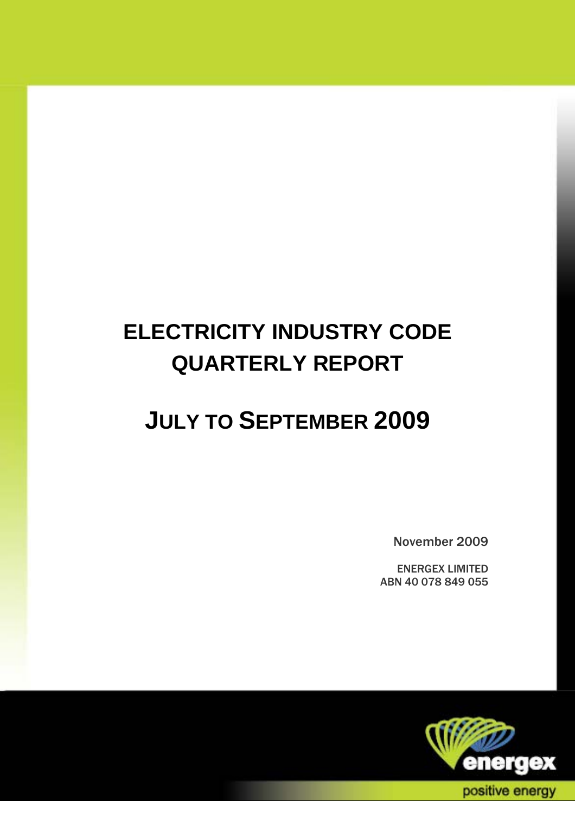# **ELECTRICITY INDUSTRY CODE QUARTERLY REPORT**

## **JULY TO SEPTEMBER 2009**

November 2009

ENERGEX LIMITED ABN 40 078 849 055

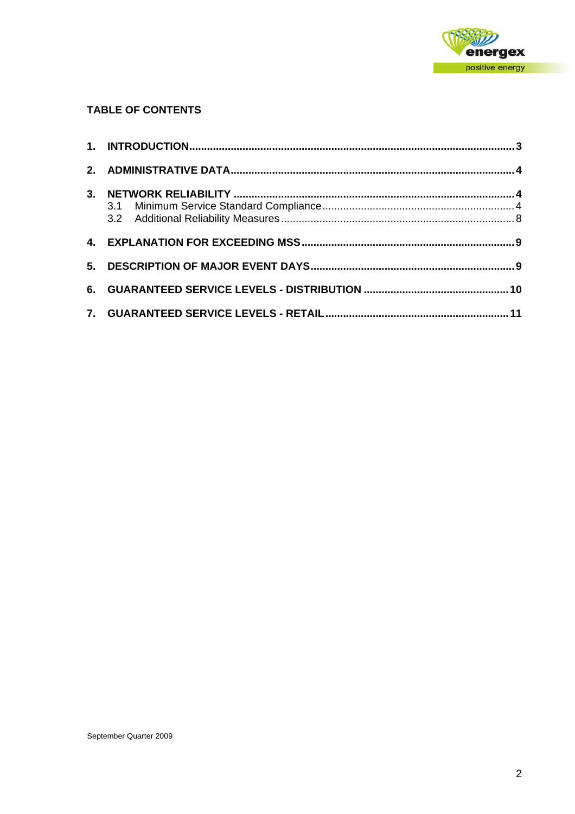

#### **TABLE OF CONTENTS**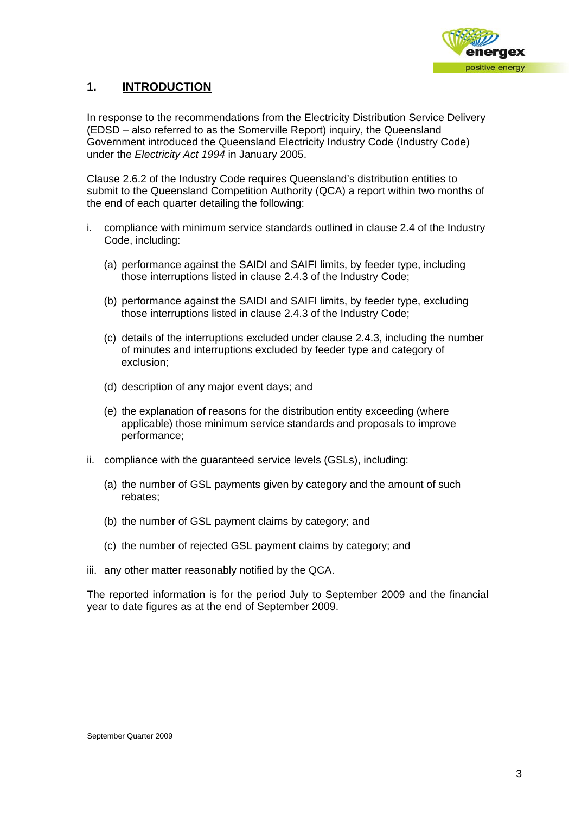

#### **1. INTRODUCTION**

In response to the recommendations from the Electricity Distribution Service Delivery (EDSD – also referred to as the Somerville Report) inquiry, the Queensland Government introduced the Queensland Electricity Industry Code (Industry Code) under the *Electricity Act 1994* in January 2005.

Clause 2.6.2 of the Industry Code requires Queensland's distribution entities to submit to the Queensland Competition Authority (QCA) a report within two months of the end of each quarter detailing the following:

- i. compliance with minimum service standards outlined in clause 2.4 of the Industry Code, including:
	- (a) performance against the SAIDI and SAIFI limits, by feeder type, including those interruptions listed in clause 2.4.3 of the Industry Code;
	- (b) performance against the SAIDI and SAIFI limits, by feeder type, excluding those interruptions listed in clause 2.4.3 of the Industry Code;
	- (c) details of the interruptions excluded under clause 2.4.3, including the number of minutes and interruptions excluded by feeder type and category of exclusion;
	- (d) description of any major event days; and
	- (e) the explanation of reasons for the distribution entity exceeding (where applicable) those minimum service standards and proposals to improve performance;
- ii. compliance with the guaranteed service levels (GSLs), including:
	- (a) the number of GSL payments given by category and the amount of such rebates;
	- (b) the number of GSL payment claims by category; and
	- (c) the number of rejected GSL payment claims by category; and
- iii. any other matter reasonably notified by the QCA.

The reported information is for the period July to September 2009 and the financial year to date figures as at the end of September 2009.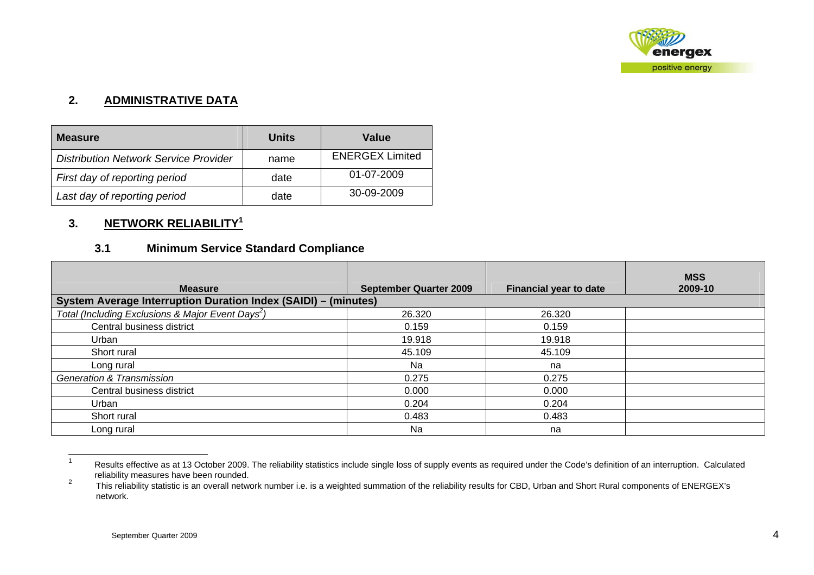

#### **2. ADMINISTRATIVE DATA**

| <b>Measure</b>                               | Units | Value                  |
|----------------------------------------------|-------|------------------------|
| <b>Distribution Network Service Provider</b> | name  | <b>ENERGEX Limited</b> |
| First day of reporting period                | date  | 01-07-2009             |
| Last day of reporting period                 | date  | $30 - 09 - 2009$       |

#### **3. NETWORK RELIABILITY<sup>1</sup>**

### **3.1 Minimum Service Standard Compliance**

| <b>Measure</b>                                                 | <b>September Quarter 2009</b> | <b>Financial year to date</b> | <b>MSS</b><br>2009-10 |
|----------------------------------------------------------------|-------------------------------|-------------------------------|-----------------------|
| System Average Interruption Duration Index (SAIDI) - (minutes) |                               |                               |                       |
| Total (Including Exclusions & Major Event Days <sup>2</sup> )  | 26.320                        | 26.320                        |                       |
| Central business district                                      | 0.159                         | 0.159                         |                       |
| Urban                                                          | 19.918                        | 19.918                        |                       |
| Short rural                                                    | 45.109                        | 45.109                        |                       |
| Long rural                                                     | Na                            | na                            |                       |
| <b>Generation &amp; Transmission</b>                           | 0.275                         | 0.275                         |                       |
| Central business district                                      | 0.000                         | 0.000                         |                       |
| Urban                                                          | 0.204                         | 0.204                         |                       |
| Short rural                                                    | 0.483                         | 0.483                         |                       |
| Long rural                                                     | Na                            | na                            |                       |

<sup>1</sup> Results effective as at 13 October 2009. The reliability statistics include single loss of supply events as required under the Code's definition of an interruption. Calculated reliability measures have been rounded.<br><sup>2</sup> This reliability statistic is an overall nature

This reliability statistic is an overall network number i.e. is a weighted summation of the reliability results for CBD, Urban and Short Rural components of ENERGEX's network.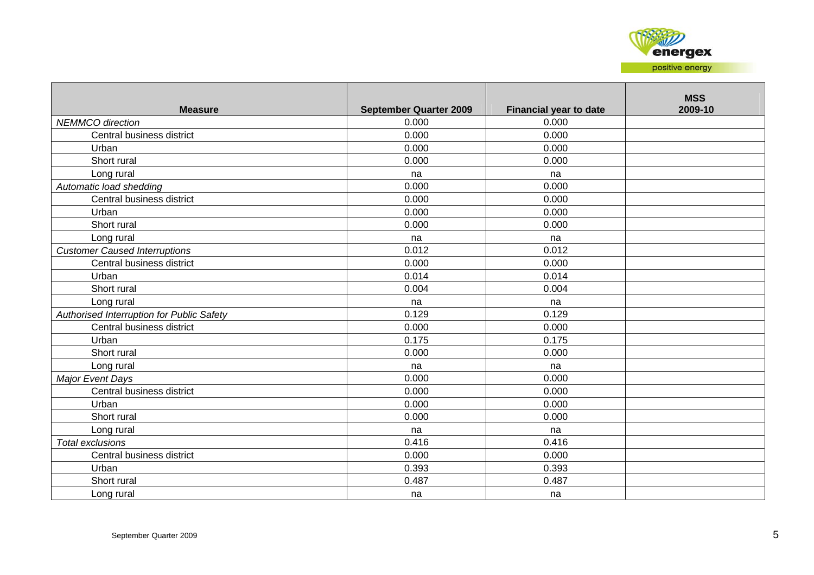

| <b>Measure</b>                            | <b>September Quarter 2009</b> | Financial year to date | <b>MSS</b><br>2009-10 |
|-------------------------------------------|-------------------------------|------------------------|-----------------------|
| <b>NEMMCO</b> direction                   | 0.000                         | 0.000                  |                       |
| Central business district                 | 0.000                         | 0.000                  |                       |
| Urban                                     | 0.000                         | 0.000                  |                       |
| Short rural                               | 0.000                         | 0.000                  |                       |
| Long rural                                | na                            | na                     |                       |
| Automatic load shedding                   | 0.000                         | 0.000                  |                       |
| Central business district                 | 0.000                         | 0.000                  |                       |
| Urban                                     | 0.000                         | 0.000                  |                       |
| Short rural                               | 0.000                         | 0.000                  |                       |
| Long rural                                | na                            | na                     |                       |
| <b>Customer Caused Interruptions</b>      | 0.012                         | 0.012                  |                       |
| Central business district                 | 0.000                         | 0.000                  |                       |
| Urban                                     | 0.014                         | 0.014                  |                       |
| Short rural                               | 0.004                         | 0.004                  |                       |
| Long rural                                | na                            | na                     |                       |
| Authorised Interruption for Public Safety | 0.129                         | 0.129                  |                       |
| Central business district                 | 0.000                         | 0.000                  |                       |
| Urban                                     | 0.175                         | 0.175                  |                       |
| Short rural                               | 0.000                         | 0.000                  |                       |
| Long rural                                | na                            | na                     |                       |
| <b>Major Event Days</b>                   | 0.000                         | 0.000                  |                       |
| Central business district                 | 0.000                         | 0.000                  |                       |
| Urban                                     | 0.000                         | 0.000                  |                       |
| Short rural                               | 0.000                         | 0.000                  |                       |
| Long rural                                | na                            | na                     |                       |
| <b>Total exclusions</b>                   | 0.416                         | 0.416                  |                       |
| Central business district                 | 0.000                         | 0.000                  |                       |
| Urban                                     | 0.393                         | 0.393                  |                       |
| Short rural                               | 0.487                         | 0.487                  |                       |
| Long rural                                | na                            | na                     |                       |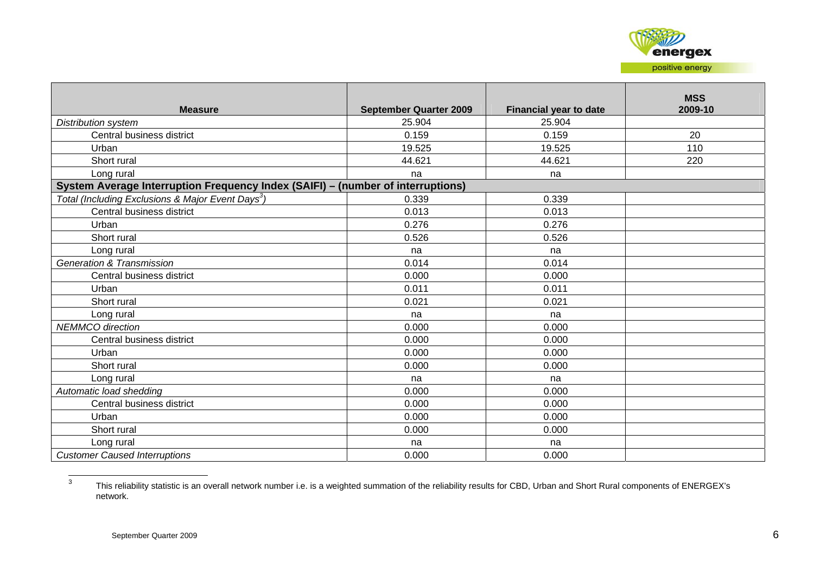

| <b>Measure</b>                                                                  | <b>September Quarter 2009</b> | <b>Financial year to date</b> | <b>MSS</b><br>2009-10 |
|---------------------------------------------------------------------------------|-------------------------------|-------------------------------|-----------------------|
| Distribution system                                                             | 25.904                        | 25.904                        |                       |
| Central business district                                                       | 0.159                         | 0.159                         | 20                    |
| Urban                                                                           | 19.525                        | 19.525                        | 110                   |
| Short rural                                                                     | 44.621                        | 44.621                        | 220                   |
| Long rural                                                                      | na                            | na                            |                       |
| System Average Interruption Frequency Index (SAIFI) - (number of interruptions) |                               |                               |                       |
| Total (Including Exclusions & Major Event Days <sup>3</sup> )                   | 0.339                         | 0.339                         |                       |
| Central business district                                                       | 0.013                         | 0.013                         |                       |
| Urban                                                                           | 0.276                         | 0.276                         |                       |
| Short rural                                                                     | 0.526                         | 0.526                         |                       |
| Long rural                                                                      | na                            | na                            |                       |
| <b>Generation &amp; Transmission</b>                                            | 0.014                         | 0.014                         |                       |
| Central business district                                                       | 0.000                         | 0.000                         |                       |
| Urban                                                                           | 0.011                         | 0.011                         |                       |
| Short rural                                                                     | 0.021                         | 0.021                         |                       |
| Long rural                                                                      | na                            | na                            |                       |
| <b>NEMMCO</b> direction                                                         | 0.000                         | 0.000                         |                       |
| Central business district                                                       | 0.000                         | 0.000                         |                       |
| Urban                                                                           | 0.000                         | 0.000                         |                       |
| Short rural                                                                     | 0.000                         | 0.000                         |                       |
| Long rural                                                                      | na                            | na                            |                       |
| Automatic load shedding                                                         | 0.000                         | 0.000                         |                       |
| Central business district                                                       | 0.000                         | 0.000                         |                       |
| Urban                                                                           | 0.000                         | 0.000                         |                       |
| Short rural                                                                     | 0.000                         | 0.000                         |                       |
| Long rural                                                                      | na                            | na                            |                       |
| <b>Customer Caused Interruptions</b>                                            | 0.000                         | 0.000                         |                       |

<sup>3</sup> This reliability statistic is an overall network number i.e. is a weighted summation of the reliability results for CBD, Urban and Short Rural components of ENERGEX's network.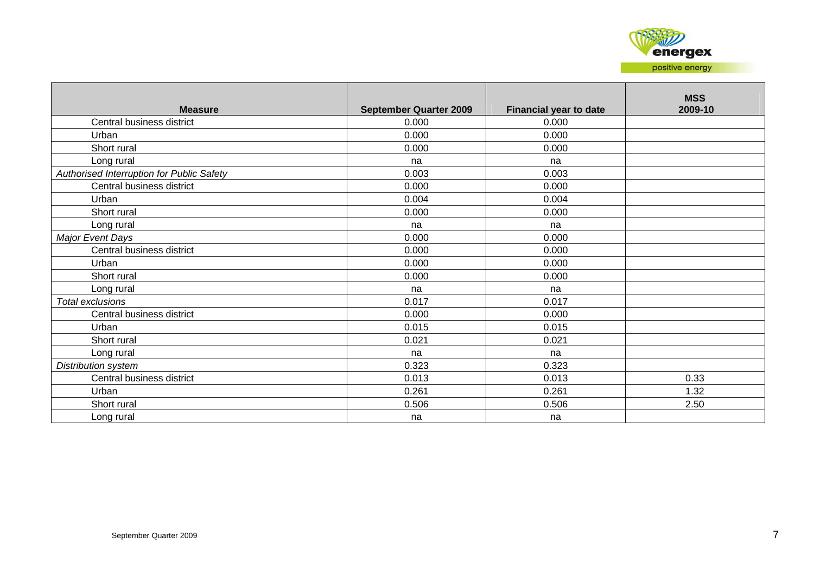

| <b>Measure</b>                            | <b>September Quarter 2009</b> | <b>Financial year to date</b> | <b>MSS</b><br>2009-10 |
|-------------------------------------------|-------------------------------|-------------------------------|-----------------------|
| Central business district                 | 0.000                         | 0.000                         |                       |
| Urban                                     | 0.000                         | 0.000                         |                       |
| Short rural                               | 0.000                         | 0.000                         |                       |
| Long rural                                | na                            | na                            |                       |
| Authorised Interruption for Public Safety | 0.003                         | 0.003                         |                       |
| Central business district                 | 0.000                         | 0.000                         |                       |
| Urban                                     | 0.004                         | 0.004                         |                       |
| Short rural                               | 0.000                         | 0.000                         |                       |
| Long rural                                | na                            | na                            |                       |
| Major Event Days                          | 0.000                         | 0.000                         |                       |
| Central business district                 | 0.000                         | 0.000                         |                       |
| Urban                                     | 0.000                         | 0.000                         |                       |
| Short rural                               | 0.000                         | 0.000                         |                       |
| Long rural                                | na                            | na                            |                       |
| Total exclusions                          | 0.017                         | 0.017                         |                       |
| Central business district                 | 0.000                         | 0.000                         |                       |
| Urban                                     | 0.015                         | 0.015                         |                       |
| Short rural                               | 0.021                         | 0.021                         |                       |
| Long rural                                | na                            | na                            |                       |
| Distribution system                       | 0.323                         | 0.323                         |                       |
| Central business district                 | 0.013                         | 0.013                         | 0.33                  |
| Urban                                     | 0.261                         | 0.261                         | 1.32                  |
| Short rural                               | 0.506                         | 0.506                         | 2.50                  |
| Long rural                                | na                            | na                            |                       |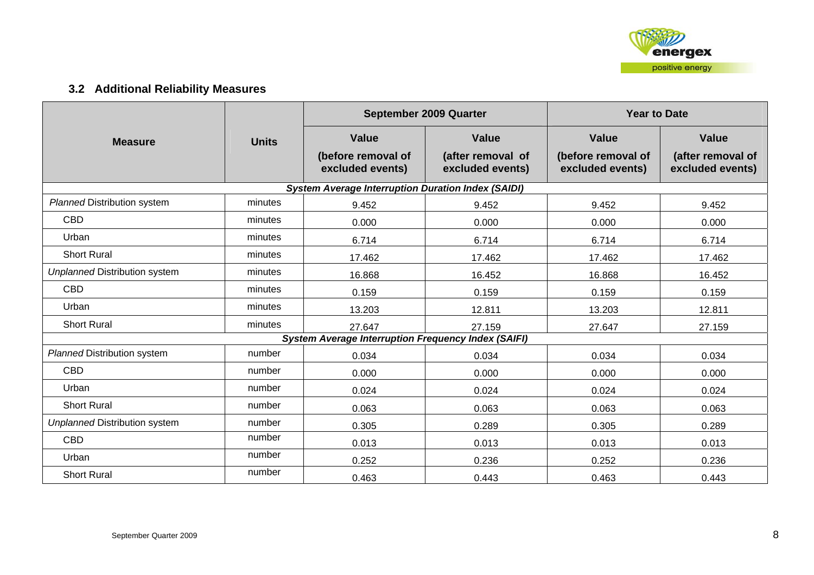

## **3.2 Additional Reliability Measures**

|                                      |              |                                                            | September 2009 Quarter                                | <b>Year to Date</b>                                    |                                                       |  |
|--------------------------------------|--------------|------------------------------------------------------------|-------------------------------------------------------|--------------------------------------------------------|-------------------------------------------------------|--|
| <b>Measure</b>                       | <b>Units</b> | <b>Value</b><br>(before removal of<br>excluded events)     | <b>Value</b><br>(after removal of<br>excluded events) | <b>Value</b><br>(before removal of<br>excluded events) | <b>Value</b><br>(after removal of<br>excluded events) |  |
|                                      |              |                                                            |                                                       |                                                        |                                                       |  |
|                                      |              | <b>System Average Interruption Duration Index (SAIDI)</b>  |                                                       |                                                        |                                                       |  |
| <b>Planned Distribution system</b>   | minutes      | 9.452                                                      | 9.452                                                 | 9.452                                                  | 9.452                                                 |  |
| <b>CBD</b>                           | minutes      | 0.000                                                      | 0.000                                                 | 0.000                                                  | 0.000                                                 |  |
| Urban                                | minutes      | 6.714                                                      | 6.714                                                 | 6.714                                                  | 6.714                                                 |  |
| <b>Short Rural</b>                   | minutes      | 17.462                                                     | 17.462                                                | 17.462                                                 | 17.462                                                |  |
| <b>Unplanned Distribution system</b> | minutes      | 16.868                                                     | 16.452                                                | 16.868                                                 | 16.452                                                |  |
| <b>CBD</b>                           | minutes      | 0.159                                                      | 0.159                                                 | 0.159                                                  | 0.159                                                 |  |
| Urban                                | minutes      | 13.203                                                     | 12.811                                                | 13.203                                                 | 12.811                                                |  |
| <b>Short Rural</b>                   | minutes      | 27.647                                                     | 27.159                                                | 27.647                                                 | 27.159                                                |  |
|                                      |              | <b>System Average Interruption Frequency Index (SAIFI)</b> |                                                       |                                                        |                                                       |  |
| <b>Planned Distribution system</b>   | number       | 0.034                                                      | 0.034                                                 | 0.034                                                  | 0.034                                                 |  |
| <b>CBD</b>                           | number       | 0.000                                                      | 0.000                                                 | 0.000                                                  | 0.000                                                 |  |
| Urban                                | number       | 0.024                                                      | 0.024                                                 | 0.024                                                  | 0.024                                                 |  |
| <b>Short Rural</b>                   | number       | 0.063                                                      | 0.063                                                 | 0.063                                                  | 0.063                                                 |  |
| <b>Unplanned Distribution system</b> | number       | 0.305                                                      | 0.289                                                 | 0.305                                                  | 0.289                                                 |  |
| <b>CBD</b>                           | number       | 0.013                                                      | 0.013                                                 | 0.013                                                  | 0.013                                                 |  |
| Urban                                | number       | 0.252                                                      | 0.236                                                 | 0.252                                                  | 0.236                                                 |  |
| <b>Short Rural</b>                   | number       | 0.463                                                      | 0.443                                                 | 0.463                                                  | 0.443                                                 |  |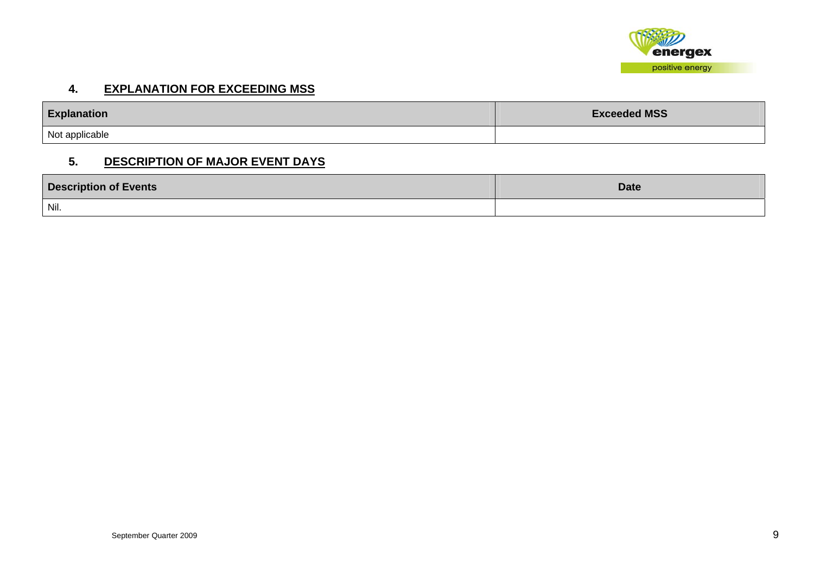

#### **4. EXPLANATION FOR EXCEEDING MSS**

| <b>Explanation</b> | <b>Exceeded MSS</b> |
|--------------------|---------------------|
| Not applicable     |                     |

#### **5. DESCRIPTION OF MAJOR EVENT DAYS**

| <b>Description of Events</b> | <b>Date</b> |
|------------------------------|-------------|
| Nil.                         |             |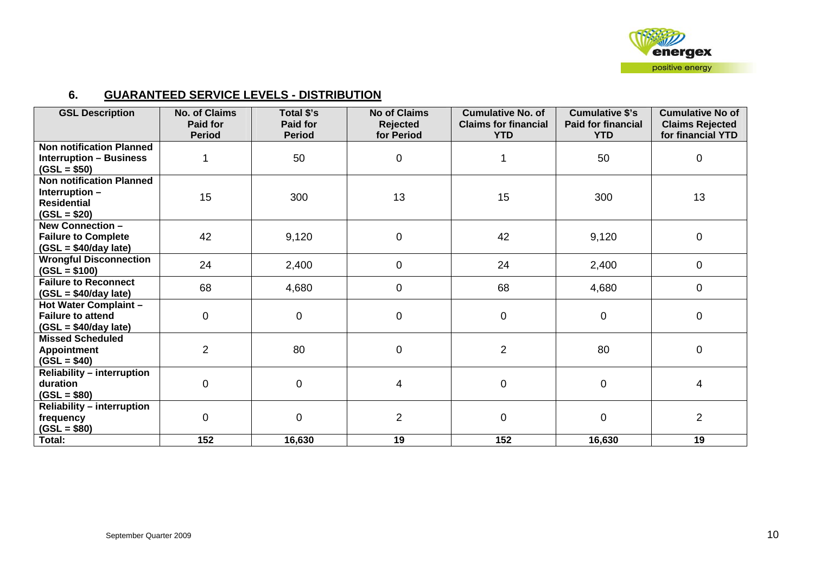

#### **6. GUARANTEED SERVICE LEVELS - DISTRIBUTION**

| <b>GSL Description</b>                                                                   | <b>No. of Claims</b><br><b>Paid for</b><br><b>Period</b> | Total \$'s<br><b>Paid for</b><br><b>Period</b> | <b>No of Claims</b><br><b>Rejected</b><br>for Period | <b>Cumulative No. of</b><br><b>Claims for financial</b><br><b>YTD</b> | <b>Cumulative \$'s</b><br><b>Paid for financial</b><br><b>YTD</b> | <b>Cumulative No of</b><br><b>Claims Rejected</b><br>for financial YTD |
|------------------------------------------------------------------------------------------|----------------------------------------------------------|------------------------------------------------|------------------------------------------------------|-----------------------------------------------------------------------|-------------------------------------------------------------------|------------------------------------------------------------------------|
| <b>Non notification Planned</b><br><b>Interruption - Business</b><br>$(GSL = $50)$       |                                                          | 50                                             | 0                                                    |                                                                       | 50                                                                | $\mathbf 0$                                                            |
| <b>Non notification Planned</b><br>Interruption -<br><b>Residential</b><br>$(GSL = $20)$ | 15                                                       | 300                                            | 13                                                   | 15                                                                    | 300                                                               | 13                                                                     |
| <b>New Connection -</b><br><b>Failure to Complete</b><br>$(GSL = $40/day$ late)          | 42                                                       | 9,120                                          | $\pmb{0}$                                            | 42                                                                    | 9,120                                                             | $\mathbf 0$                                                            |
| <b>Wrongful Disconnection</b><br>$(GSL = $100)$                                          | 24                                                       | 2,400                                          | 0                                                    | 24                                                                    | 2,400                                                             | $\mathbf 0$                                                            |
| <b>Failure to Reconnect</b><br>$(GSL = $40/day$ late)                                    | 68                                                       | 4,680                                          | $\mathbf 0$                                          | 68                                                                    | 4,680                                                             | $\mathbf 0$                                                            |
| <b>Hot Water Complaint -</b><br><b>Failure to attend</b><br>$(GSL = $40/day$ late)       | 0                                                        | $\mathbf 0$                                    | $\pmb{0}$                                            | 0                                                                     | $\mathbf 0$                                                       | $\mathbf 0$                                                            |
| <b>Missed Scheduled</b><br><b>Appointment</b><br>$(GSL = $40)$                           | $\overline{2}$                                           | 80                                             | $\pmb{0}$                                            | $\overline{2}$                                                        | 80                                                                | $\mathbf 0$                                                            |
| <b>Reliability - interruption</b><br>duration<br>$(GSL = $80)$                           | $\overline{0}$                                           | $\overline{0}$                                 | 4                                                    | $\mathbf 0$                                                           | $\mathbf 0$                                                       | $\overline{4}$                                                         |
| <b>Reliability - interruption</b><br>frequency<br>$(GSL = $80)$                          | $\Omega$                                                 | $\Omega$                                       | $\overline{2}$                                       | 0                                                                     | $\overline{0}$                                                    | $\overline{2}$                                                         |
| Total:                                                                                   | 152                                                      | 16,630                                         | 19                                                   | 152                                                                   | 16,630                                                            | 19                                                                     |